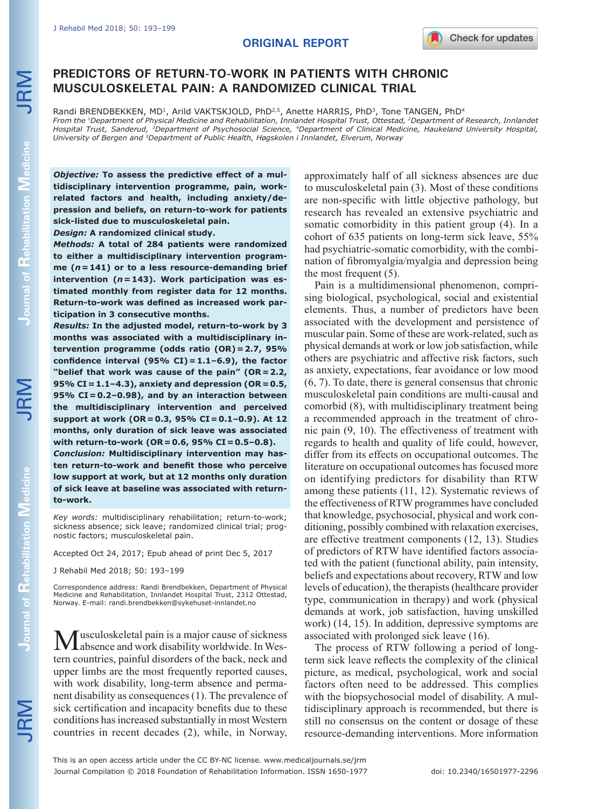# **ORIGINAL REPORT**

# **PREDICTORS OF RETURN-TO-WORK IN PATIENTS WITH CHRONIC MUSCULOSKELETAL PAIN: A RANDOMIZED CLINICAL TRIAL**

Randi BRENDBEKKEN, MD<sup>1</sup>, Arild VAKTSKJOLD, PhD<sup>2,5</sup>, Anette HARRIS, PhD<sup>3</sup>, Tone TANGEN, PhD<sup>4</sup> *From the 1Department of Physical Medicine and Rehabilitation, Innlandet Hospital Trust, Ottestad, 2Department of Research, Innlandet Hospital Trust, Sanderud, 3Department of Psychosocial Science, 4Department of Clinical Medicine, Haukeland University Hospital, University of Bergen and 5Department of Public Health, Høgskolen i Innlandet, Elverum, Norway*

*Objective:* **To assess the predictive effect of a multidisciplinary intervention programme, pain, workrelated factors and health, including anxiety/depression and beliefs, on return-to-work for patients sick-listed due to musculoskeletal pain.** 

*Design:* **A randomized clinical study.** 

*Methods:* **A total of 284 patients were randomized to either a multidisciplinary intervention programme (***n***=141) or to a less resource-demanding brief intervention (***n***=143). Work participation was estimated monthly from register data for 12 months. Return-to-work was defined as increased work participation in 3 consecutive months.** 

*Results:* **In the adjusted model, return-to-work by 3 months was associated with a multidisciplinary intervention programme (odds ratio (OR)=2.7, 95% confidence interval (95% CI)=1.1–6.9), the factor "belief that work was cause of the pain" (OR=2.2, 95% CI=1.1–4.3), anxiety and depression (OR=0.5, 95% CI=0.2–0.98), and by an interaction between the multidisciplinary intervention and perceived support at work (OR=0.3, 95% CI=0.1–0.9). At 12 months, only duration of sick leave was associated with return-to-work (OR=0.6, 95% CI=0.5–0.8).**

*Conclusion:* **Multidisciplinary intervention may hasten return-to-work and benefit those who perceive low support at work, but at 12 months only duration of sick leave at baseline was associated with returnto-work.**

*Key words:* multidisciplinary rehabilitation; return-to-work; sickness absence; sick leave; randomized clinical trial; prognostic factors; musculoskeletal pain.

Accepted Oct 24, 2017; Epub ahead of print Dec 5, 2017

J Rehabil Med 2018; 50: 193–199

Correspondence address: Randi Brendbekken, Department of Physical Medicine and Rehabilitation, Innlandet Hospital Trust, 2312 Ottestad, Norway. E-mail: randi.brendbekken@sykehuset-innlandet.no

Musculoskeletal pain is a major cause of sickness<br>
Mabsence and work disability worldwide. In Western countries, painful disorders of the back, neck and upper limbs are the most frequently reported causes, with work disability, long-term absence and permanent disability as consequences (1). The prevalence of sick certification and incapacity benefits due to these conditions has increased substantially in most Western countries in recent decades (2), while, in Norway,

approximately half of all sickness absences are due to musculoskeletal pain (3). Most of these conditions are non-specific with little objective pathology, but research has revealed an extensive psychiatric and somatic comorbidity in this patient group (4). In a cohort of 635 patients on long-term sick leave, 55% had psychiatric-somatic comorbidity, with the combination of fibromyalgia/myalgia and depression being the most frequent (5).

Pain is a multidimensional phenomenon, comprising biological, psychological, social and existential elements. Thus, a number of predictors have been associated with the development and persistence of muscular pain. Some of these are work-related, such as physical demands at work or low job satisfaction, while others are psychiatric and affective risk factors, such as anxiety, expectations, fear avoidance or low mood (6, 7). To date, there is general consensus that chronic musculoskeletal pain conditions are multi-causal and comorbid (8), with multidisciplinary treatment being a recommended approach in the treatment of chronic pain (9, 10). The effectiveness of treatment with regards to health and quality of life could, however, differ from its effects on occupational outcomes. The literature on occupational outcomes has focused more on identifying predictors for disability than RTW among these patients (11, 12). Systematic reviews of the effectiveness of RTW programmes have concluded that knowledge, psychosocial, physical and work conditioning, possibly combined with relaxation exercises, are effective treatment components (12, 13). Studies of predictors of RTW have identified factors associated with the patient (functional ability, pain intensity, beliefs and expectations about recovery, RTW and low levels of education), the therapists (healthcare provider type, communication in therapy) and work (physical demands at work, job satisfaction, having unskilled work) (14, 15). In addition, depressive symptoms are associated with prolonged sick leave (16).

The process of RTW following a period of longterm sick leave reflects the complexity of the clinical picture, as medical, psychological, work and social factors often need to be addressed. This complies with the biopsychosocial model of disability. A multidisciplinary approach is recommended, but there is still no consensus on the content or dosage of these resource-demanding interventions. More information

JRM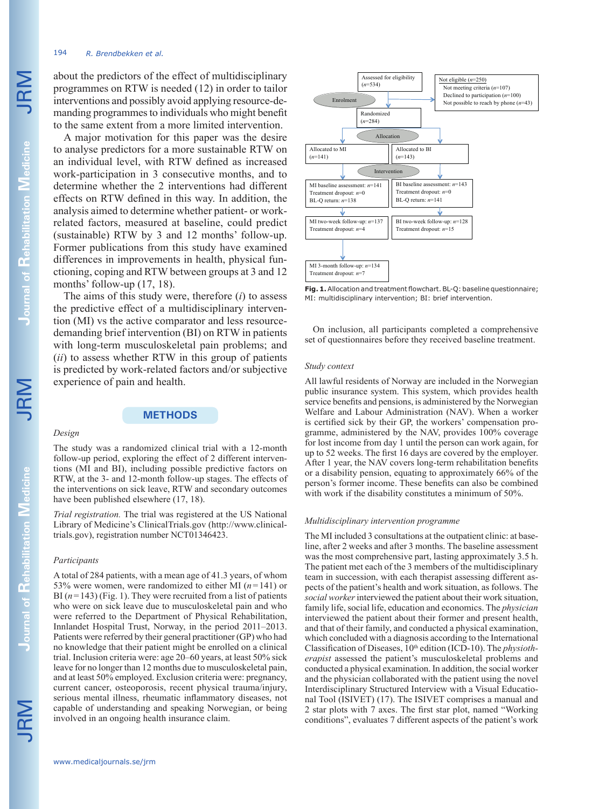### 194 *R. Brendbekken et al.*

about the predictors of the effect of multidisciplinary programmes on RTW is needed (12) in order to tailor interventions and possibly avoid applying resource-demanding programmes to individuals who might benefit to the same extent from a more limited intervention.

A major motivation for this paper was the desire to analyse predictors for a more sustainable RTW on an individual level, with RTW defined as increased work-participation in 3 consecutive months, and to determine whether the 2 interventions had different effects on RTW defined in this way. In addition, the analysis aimed to determine whether patient- or workrelated factors, measured at baseline, could predict (sustainable) RTW by 3 and 12 months' follow-up. Former publications from this study have examined differences in improvements in health, physical functioning, coping and RTW between groups at 3 and 12 months' follow-up (17, 18).

The aims of this study were, therefore (*i*) to assess the predictive effect of a multidisciplinary intervention (MI) vs the active comparator and less resourcedemanding brief intervention (BI) on RTW in patients with long-term musculoskeletal pain problems; and (*ii*) to assess whether RTW in this group of patients is predicted by work-related factors and/or subjective experience of pain and health.

# **METHODS**

The study was a randomized clinical trial with a 12-month follow-up period, exploring the effect of 2 different interventions (MI and BI), including possible predictive factors on RTW, at the 3- and 12-month follow-up stages. The effects of the interventions on sick leave, RTW and secondary outcomes

*Trial registration.* The trial was registered at the US National Library of Medicine's ClinicalTrials.gov (http://www.clinical-

A total of 284 patients, with a mean age of 41.3 years, of whom 53% were women, were randomized to either MI  $(n=141)$  or BI  $(n=143)$  (Fig. 1). They were recruited from a list of patients who were on sick leave due to musculoskeletal pain and who were referred to the Department of Physical Rehabilitation, Innlandet Hospital Trust, Norway, in the period 2011–2013. Patients were referred by their general practitioner (GP) who had no knowledge that their patient might be enrolled on a clinical trial. Inclusion criteria were: age 20–60 years, at least 50% sick leave for no longer than 12 months due to musculoskeletal pain, and at least 50% employed. Exclusion criteria were: pregnancy, current cancer, osteoporosis, recent physical trauma/injury, serious mental illness, rheumatic inflammatory diseases, not capable of understanding and speaking Norwegian, or being

have been published elsewhere (17, 18).

trials.gov), registration number NCT01346423.

involved in an ongoing health insurance claim.

#### *Design*

*Participants*

#### Assessed for eligibility  $(n=534)$ MI baseline assessment: *n*=141 Treatment dropout: *n*=0 BL-Q return: *n*=138 BI two-week follow-up: *n*=128 Treatment dropout: *n*=15 BI baseline assessment: *n*=143 Treatment dropout: *n*=0 BL-Q return: *n*=141 MI two-week follow-up: *n*=137 Treatment dropout: *n*=4 MI 3-month follow-up: *n*=134 Treatment dropout: *n*=7 Randomized (*n*=284) Not eligible (*n*=250) Not meeting criteria (*n*=107) Declined to participation (*n*=100) Not possible to reach by phone  $(n=43)$ Allocated to BI (*n*=143) Allocated to MI  $(n=141)$ Enrolment Intervent Allocation

**Fig. 1.** Allocation and treatment flowchart. BL-Q: baseline questionnaire; MI: multidisciplinary intervention; BI: brief intervention.

On inclusion, all participants completed a comprehensive set of questionnaires before they received baseline treatment.

#### *Study context*

All lawful residents of Norway are included in the Norwegian public insurance system. This system, which provides health service benefits and pensions, is administered by the Norwegian Welfare and Labour Administration (NAV). When a worker is certified sick by their GP, the workers' compensation programme, administered by the NAV, provides 100% coverage for lost income from day 1 until the person can work again, for up to 52 weeks. The first 16 days are covered by the employer. After 1 year, the NAV covers long-term rehabilitation benefits or a disability pension, equating to approximately 66% of the person's former income. These benefits can also be combined with work if the disability constitutes a minimum of 50%.

#### *Multidisciplinary intervention programme*

The MI included 3 consultations at the outpatient clinic: at baseline, after 2 weeks and after 3 months. The baseline assessment was the most comprehensive part, lasting approximately 3.5 h. The patient met each of the 3 members of the multidisciplinary team in succession, with each therapist assessing different aspects of the patient's health and work situation, as follows. The *social worker* interviewed the patient about their work situation, family life, social life, education and economics. The *physician*  interviewed the patient about their former and present health, and that of their family, and conducted a physical examination, which concluded with a diagnosis according to the International Classification of Diseases,  $10^{th}$  edition (ICD-10). The *physiotherapist* assessed the patient's musculoskeletal problems and conducted a physical examination. In addition, the social worker and the physician collaborated with the patient using the novel Interdisciplinary Structured Interview with a Visual Educational Tool (ISIVET) (17). The ISIVET comprises a manual and 2 star plots with 7 axes. The first star plot, named "Working conditions", evaluates 7 different aspects of the patient's work

**Journal of** 

**Rehabilitation**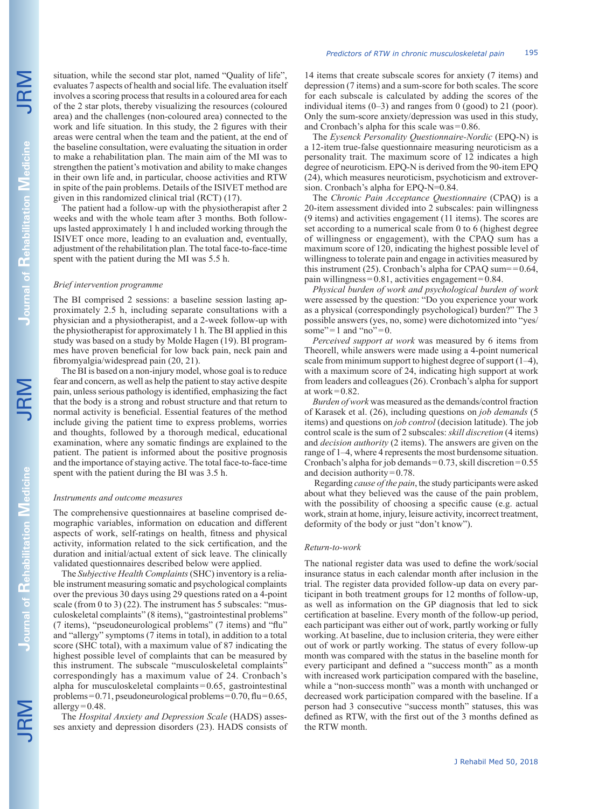situation, while the second star plot, named "Quality of life" evaluates 7 aspects of health and social life. The evaluation itself involves a scoring process that results in a coloured area for each of the 2 star plots, thereby visualizing the resources (coloured area) and the challenges (non-coloured area) connected to the work and life situation. In this study, the 2 figures with their areas were central when the team and the patient, at the end of the baseline consultation, were evaluating the situation in order to make a rehabilitation plan. The main aim of the MI was to strengthen the patient's motivation and ability to make changes in their own life and, in particular, choose activities and RTW in spite of the pain problems. Details of the ISIVET method are given in this randomized clinical trial (RCT) (17).

The patient had a follow-up with the physiotherapist after 2 weeks and with the whole team after 3 months. Both followups lasted approximately 1 h and included working through the ISIVET once more, leading to an evaluation and, eventually, adjustment of the rehabilitation plan. The total face-to-face-time spent with the patient during the MI was 5.5 h.

#### *Brief intervention programme*

The BI comprised 2 sessions: a baseline session lasting approximately 2.5 h, including separate consultations with a physician and a physiotherapist, and a 2-week follow-up with the physiotherapist for approximately 1 h. The BI applied in this study was based on a study by Molde Hagen (19). BI programmes have proven beneficial for low back pain, neck pain and fibromyalgia/widespread pain (20, 21).

The BI is based on a non-injury model, whose goal is to reduce fear and concern, as well as help the patient to stay active despite pain, unless serious pathology is identified, emphasizing the fact that the body is a strong and robust structure and that return to normal activity is beneficial. Essential features of the method include giving the patient time to express problems, worries and thoughts, followed by a thorough medical, educational examination, where any somatic findings are explained to the patient. The patient is informed about the positive prognosis and the importance of staying active. The total face-to-face-time spent with the patient during the BI was 3.5 h.

#### *Instruments and outcome measures*

The comprehensive questionnaires at baseline comprised demographic variables, information on education and different aspects of work, self-ratings on health, fitness and physical activity, information related to the sick certification, and the duration and initial/actual extent of sick leave. The clinically validated questionnaires described below were applied.

The *Subjective Health Complaints* (SHC) inventory is a reliable instrument measuring somatic and psychological complaints over the previous 30 days using 29 questions rated on a 4-point scale (from 0 to 3) (22). The instrument has 5 subscales: "musculoskeletal complaints" (8 items), "gastrointestinal problems" (7 items), "pseudoneurological problems" (7 items) and "flu" and "allergy" symptoms (7 items in total), in addition to a total score (SHC total), with a maximum value of 87 indicating the highest possible level of complaints that can be measured by this instrument. The subscale "musculoskeletal complaints" correspondingly has a maximum value of 24. Cronbach's alpha for musculoskeletal complaints=0.65, gastrointestinal problems=0.71, pseudoneurological problems=0.70, flu=0.65, allergy $=0.48$ .

The *Hospital Anxiety and Depression Scale* (HADS) assesses anxiety and depression disorders (23). HADS consists of 14 items that create subscale scores for anxiety (7 items) and depression (7 items) and a sum-score for both scales. The score for each subscale is calculated by adding the scores of the individual items  $(0-3)$  and ranges from 0 (good) to 21 (poor). Only the sum-score anxiety/depression was used in this study, and Cronbach's alpha for this scale was=0.86.

The *Eysenck Personality Questionnaire-Nordic* (EPQ-N) is a 12-item true-false questionnaire measuring neuroticism as a personality trait. The maximum score of 12 indicates a high degree of neuroticism. EPQ-N is derived from the 90-item EPQ (24), which measures neuroticism, psychoticism and extroversion. Cronbach's alpha for EPQ-N=0.84.

The *Chronic Pain Acceptance Questionnaire* (CPAQ) is a 20-item assessment divided into 2 subscales: pain willingness (9 items) and activities engagement (11 items). The scores are set according to a numerical scale from 0 to 6 (highest degree of willingness or engagement), with the CPAQ sum has a maximum score of 120, indicating the highest possible level of willingness to tolerate pain and engage in activities measured by this instrument (25). Cronbach's alpha for CPAQ sum== $0.64$ , pain willingness=0.81, activities engagement=0.84.

*Physical burden of work and psychological burden of work* were assessed by the question: "Do you experience your work as a physical (correspondingly psychological) burden?" The 3 possible answers (yes, no, some) were dichotomized into "yes/ some" $=1$  and "no" $=0$ .

*Perceived support at work* was measured by 6 items from Theorell, while answers were made using a 4-point numerical scale from minimum support to highest degree of support  $(1-4)$ , with a maximum score of 24, indicating high support at work from leaders and colleagues (26). Cronbach's alpha for support at work $=0.82$ .

*Burden of work* was measured as the demands/control fraction of Karasek et al. (26), including questions on *job demands* (5 items) and questions on *job control* (decision latitude). The job control scale is the sum of 2 subscales: *skill discretion* (4 items) and *decision authority* (2 items). The answers are given on the range of 1–4, where 4 represents the most burdensome situation. Cronbach's alpha for job demands=0.73, skill discretion=0.55 and decision authority=0.78.

 Regarding *cause of the pain*, the study participants were asked about what they believed was the cause of the pain problem, with the possibility of choosing a specific cause (e.g. actual work, strain at home, injury, leisure activity, incorrect treatment, deformity of the body or just "don't know").

#### *Return-to-work*

The national register data was used to define the work/social insurance status in each calendar month after inclusion in the trial. The register data provided follow-up data on every participant in both treatment groups for 12 months of follow-up, as well as information on the GP diagnosis that led to sick certification at baseline. Every month of the follow-up period, each participant was either out of work, partly working or fully working. At baseline, due to inclusion criteria, they were either out of work or partly working. The status of every follow-up month was compared with the status in the baseline month for every participant and defined a "success month" as a month with increased work participation compared with the baseline, while a "non-success month" was a month with unchanged or decreased work participation compared with the baseline. If a person had 3 consecutive "success month" statuses, this was defined as RTW, with the first out of the 3 months defined as the RTW month.

**Rehabilitation** 

**Journal of** 

**Rehabilitation**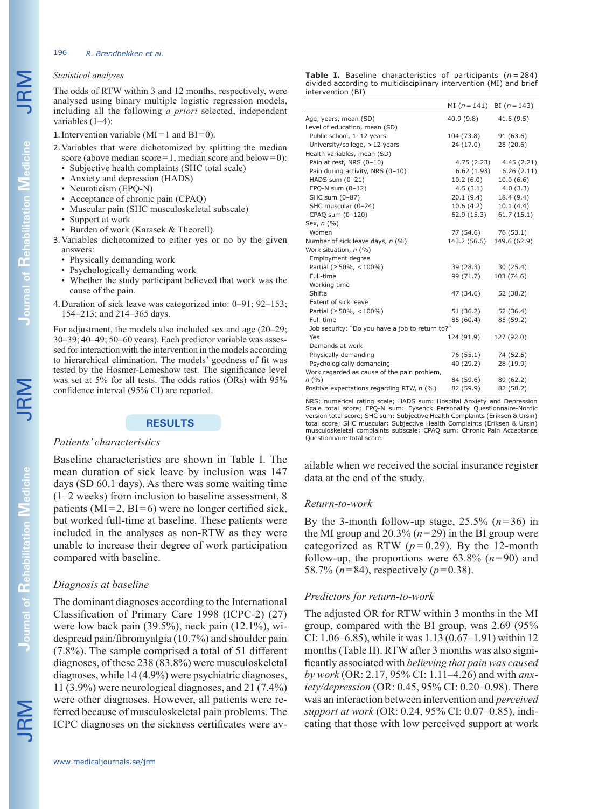### 196 *R. Brendbekken et al.*

# *Statistical analyses*

The odds of RTW within 3 and 12 months, respectively, were analysed using binary multiple logistic regression models, including all the following *a priori* selected, independent variables (1–4):

1. Intervention variable  $(MI=1$  and  $BI=0)$ .

- 2.Variables that were dichotomized by splitting the median score (above median score=1, median score and below=0):
	- Subjective health complaints (SHC total scale)
	- Anxiety and depression (HADS)
	- Neuroticism (EPQ-N)
	- Acceptance of chronic pain (CPAQ)
	- Muscular pain (SHC musculoskeletal subscale) • Support at work
	-
	- Burden of work (Karasek & Theorell).
- 3.Variables dichotomized to either yes or no by the given answers:
	- Physically demanding work
	- Psychologically demanding work
	- Whether the study participant believed that work was the cause of the pain.
- 4.Duration of sick leave was categorized into: 0–91; 92–153; 154–213; and 214–365 days.

For adjustment, the models also included sex and age (20–29; 30–39; 40–49; 50–60 years). Each predictor variable was assessed for interaction with the intervention in the models according to hierarchical elimination. The models' goodness of fit was tested by the Hosmer-Lemeshow test. The significance level was set at 5% for all tests. The odds ratios (ORs) with 95% confidence interval (95% CI) are reported.

### **RESULTS**

### *Patients' characteristics*

Baseline characteristics are shown in Table I. The mean duration of sick leave by inclusion was 147 days (SD 60.1 days). As there was some waiting time (1–2 weeks) from inclusion to baseline assessment, 8 patients ( $MI = 2$ ,  $BI = 6$ ) were no longer certified sick, but worked full-time at baseline. These patients were included in the analyses as non-RTW as they were unable to increase their degree of work participation compared with baseline.

### *Diagnosis at baseline*

The dominant diagnoses according to the International Classification of Primary Care 1998 (ICPC-2) (27) were low back pain (39.5%), neck pain (12.1%), widespread pain/fibromyalgia (10.7%) and shoulder pain (7.8%). The sample comprised a total of 51 different diagnoses, of these 238 (83.8%) were musculoskeletal diagnoses, while 14 (4.9%) were psychiatric diagnoses, 11 (3.9%) were neurological diagnoses, and 21 (7.4%) were other diagnoses. However, all patients were referred because of musculoskeletal pain problems. The ICPC diagnoses on the sickness certificates were av**Table I.** Baseline characteristics of participants (*n* = 284) divided according to multidisciplinary intervention (MI) and brief intervention (BI)

|                                                 | MI $(n=141)$ BI $(n=143)$ |              |
|-------------------------------------------------|---------------------------|--------------|
| Age, years, mean (SD)                           | 40.9(9.8)                 | 41.6(9.5)    |
| Level of education, mean (SD)                   |                           |              |
| Public school, 1-12 years                       | 104 (73.8)                | 91(63.6)     |
| University/college, > 12 years                  | 24 (17.0)                 | 28(20.6)     |
| Health variables, mean (SD)                     |                           |              |
| Pain at rest, NRS (0-10)                        | 4.75 (2.23)               | 4.45 (2.21)  |
| Pain during activity, NRS (0-10)                | 6.62(1.93)                | 6.26(2.11)   |
| HADS sum (0-21)                                 | 10.2(6.0)                 | 10.0(6.6)    |
| EPQ-N sum $(0-12)$                              | 4.5(3.1)                  | 4.0(3.3)     |
| SHC sum (0-87)                                  | 20.1 (9.4)                | 18.4 (9.4)   |
| SHC muscular (0-24)                             | 10.6(4.2)                 | 10.1(4.4)    |
| CPAQ sum (0-120)                                | 62.9 (15.3)               | 61.7(15.1)   |
| Sex, n (%)                                      |                           |              |
| Women                                           | 77 (54.6)                 | 76 (53.1)    |
| Number of sick leave days, n (%)                | 143.2 (56.6)              | 149.6 (62.9) |
| Work situation, n (%)                           |                           |              |
| Employment degree                               |                           |              |
| Partial (≥50%, <100%)                           | 39 (28.3)                 | 30 (25.4)    |
| Full-time                                       | 99 (71.7)                 | 103 (74.6)   |
| Working time                                    |                           |              |
| Shifta                                          | 47 (34.6)                 | 52 (38.2)    |
| Extent of sick leave                            |                           |              |
| Partial (≥50%, <100%)                           | 51 (36.2)                 | 52 (36.4)    |
| Full-time                                       | 85 (60.4)                 | 85 (59.2)    |
| Job security: "Do you have a job to return to?" |                           |              |
| Yes                                             | 124 (91.9)                | 127 (92.0)   |
| Demands at work                                 |                           |              |
| Physically demanding                            | 76 (55.1)                 | 74 (52.5)    |
| Psychologically demanding                       | 40 (29.2)                 | 28 (19.9)    |
| Work regarded as cause of the pain problem,     |                           |              |
| n(%)                                            | 84 (59.6)                 | 89 (62.2)    |
| Positive expectations regarding RTW, n (%)      | 82 (59.9)                 | 82 (58.2)    |

NRS: numerical rating scale; HADS sum: Hospital Anxiety and Depression Scale total score; EPQ-N sum: Eysenck Personality Questionnaire-Nordic version total score; SHC sum: Subjective Health Complaints (Eriksen & Ursin) total score; SHC muscular: Subjective Health Complaints (Eriksen & Ursin) musculoskeletal complaints subscale; CPAQ sum: Chronic Pain Acceptance Questionnaire total score.

ailable when we received the social insurance register data at the end of the study.

### *Return-to-work*

By the 3-month follow-up stage,  $25.5\%$   $(n=36)$  in the MI group and  $20.3\%$  ( $n=29$ ) in the BI group were categorized as RTW  $(p=0.29)$ . By the 12-month follow-up, the proportions were  $63.8\%$   $(n=90)$  and 58.7% (*n*=84), respectively (*p*=0.38).

# *Predictors for return-to-work*

The adjusted OR for RTW within 3 months in the MI group, compared with the BI group, was 2.69 (95% CI: 1.06–6.85), while it was 1.13 (0.67–1.91) within 12 months (Table II). RTW after 3 months was also significantly associated with *believing that pain was caused by work* (OR: 2.17, 95% CI: 1.11–4.26) and with *anxiety/depression* (OR: 0.45, 95% CI: 0.20–0.98). There was an interaction between intervention and *perceived support at work* (OR: 0.24, 95% CI: 0.07–0.85), indicating that those with low perceived support at work

**Journal of** 

JRM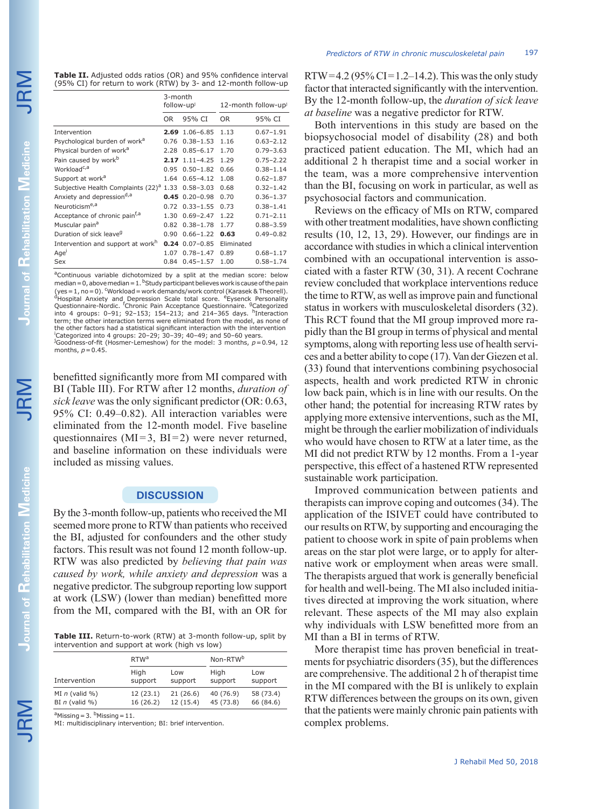JRM

| <b>Table II.</b> Adjusted odds ratios (OR) and 95% confidence interval    |
|---------------------------------------------------------------------------|
| $(95\% \text{ CI})$ for return to work (RTW) by 3- and 12-month follow-up |

|                                                     | 3-month<br>follow-upi |                  | 12-month follow-up <sup>j</sup> |               |
|-----------------------------------------------------|-----------------------|------------------|---------------------------------|---------------|
|                                                     | 0R                    | 95% CI           | <b>OR</b>                       | 95% CI        |
| Intervention                                        | 2.69                  | $1.06 - 6.85$    | 1.13                            | $0.67 - 1.91$ |
| Psychological burden of work <sup>a</sup>           | 0.76                  | $0.38 - 1.53$    | 1.16                            | $0.63 - 2.12$ |
| Physical burden of work <sup>a</sup>                | 2.28                  | $0.85 - 6.17$    | 1.70                            | $0.79 - 3.63$ |
| Pain caused by work <sup>b</sup>                    |                       | $2.17$ 1.11-4.25 | 1.29                            | $0.75 - 2.22$ |
| Workload <sup>c,a</sup>                             | 0.95                  | $0.50 - 1.82$    | 0.66                            | $0.38 - 1.14$ |
| Support at work <sup>a</sup>                        | 1.64                  | $0.65 - 4.12$    | 1.08                            | $0.62 - 1.87$ |
| Subjective Health Complaints (22) <sup>a</sup> 1.33 |                       | $0.58 - 3.03$    | 0.68                            | $0.32 - 1.42$ |
| Anxiety and depression <sup>d,a</sup>               | 0.45                  | $0.20 - 0.98$    | 0.70                            | $0.36 - 1.37$ |
| Neuroticism <sup>e,a</sup>                          | 0.72                  | $0.33 - 1.55$    | 0.73                            | $0.38 - 1.41$ |
| Acceptance of chronic pain <sup>t, a</sup>          | 1.30                  | $0.69 - 2.47$    | 1.22                            | $0.71 - 2.11$ |
| Muscular pain <sup>a</sup>                          | 0.82                  | $0.38 - 1.78$    | 1.77                            | $0.88 - 3.59$ |
| Duration of sick leave <sup>g</sup>                 | 0.90                  | $0.66 - 1.22$    | 0.63                            | $0.49 - 0.82$ |
| Intervention and support at work <sup>n</sup>       | 0.24                  | $0.07 - 0.85$    | Eliminated                      |               |
| Age'                                                | 1.07                  | $0.78 - 1.47$    | 0.89                            | $0.68 - 1.17$ |
| Sex                                                 | 0.84                  | $0.45 - 1.57$    | 1.00                            | $0.58 - 1.74$ |
|                                                     |                       |                  |                                 |               |

<sup>a</sup>Continuous variable dichotomized by a split at the median score: below median = 0, above median =  $1.$  <sup>b</sup>Study participant believes work is cause of the pain (yes = 1, no = 0). <sup>c</sup>Workload = work demands/work control (Karasek & Theorell).<br><sup>9</sup>Hospital Anxiety and Depression Scale total score. <sup>e</sup>Eysenck Personality<br>Questionnaire-Nordic. <sup>f</sup>Chronic Pain Acceptance Questionnaire term; the other interaction terms were eliminated from the model, as none of the other factors had a statistical significant interaction with the intervention i Categorized into 4 groups: 20–29; 30–39; 40–49; and 50–60 years. j Goodness-of-fit (Hosmer-Lemeshow) for the model: 3 months, *p*=0.94, 12 months, *p*=0.45.

benefitted significantly more from MI compared with BI (Table III). For RTW after 12 months, *duration of sick leave* was the only significant predictor (OR: 0.63, 95% CI: 0.49–0.82). All interaction variables were eliminated from the 12-month model. Five baseline questionnaires  $(MI=3, BI=2)$  were never returned, and baseline information on these individuals were included as missing values.

### **DISCUSSION**

By the 3-month follow-up, patients who received the MI seemed more prone to RTW than patients who received the BI, adjusted for confounders and the other study factors. This result was not found 12 month follow-up. RTW was also predicted by *believing that pain was caused by work, while anxiety and depression* was a negative predictor. The subgroup reporting low support at work (LSW) (lower than median) benefitted more from the MI, compared with the BI, with an OR for

**Table III.** Return-to-work (RTW) at 3-month follow-up, split by intervention and support at work (high vs low)

|                  | RTW <sup>a</sup> |           | Non-RTW <sup>b</sup> |           |  |
|------------------|------------------|-----------|----------------------|-----------|--|
| Intervention     | High             | Low       | High                 | Low       |  |
|                  | support          | support   | support              | support   |  |
| MI $n$ (valid %) | 12(23.1)         | 21(26.6)  | 40 (76.9)            | 58 (73.4) |  |
| BI $n$ (valid %) | 16(26.2)         | 12 (15.4) | 45 (73.8)            | 66 (84.6) |  |
|                  |                  |           |                      |           |  |

 $a$ Missing = 3.  $b$ Missing = 11.

MI: multidisciplinary intervention; BI: brief intervention.

RTW=4.2 (95% CI=1.2–14.2). This was the only study factor that interacted significantly with the intervention. By the 12-month follow-up, the *duration of sick leave at baseline* was a negative predictor for RTW.

Both interventions in this study are based on the biopsychosocial model of disability (28) and both practiced patient education. The MI, which had an additional 2 h therapist time and a social worker in the team, was a more comprehensive intervention than the BI, focusing on work in particular, as well as psychosocial factors and communication.

Reviews on the efficacy of MIs on RTW, compared with other treatment modalities, have shown conflicting results (10, 12, 13, 29). However, our findings are in accordance with studies in which a clinical intervention combined with an occupational intervention is associated with a faster RTW (30, 31). A recent Cochrane review concluded that workplace interventions reduce the time to RTW, as well as improve pain and functional status in workers with musculoskeletal disorders (32). This RCT found that the MI group improved more rapidly than the BI group in terms of physical and mental symptoms, along with reporting less use of health services and a better ability to cope (17). Van der Giezen et al. (33) found that interventions combining psychosocial aspects, health and work predicted RTW in chronic low back pain, which is in line with our results. On the other hand; the potential for increasing RTW rates by applying more extensive interventions, such as the MI, might be through the earlier mobilization of individuals who would have chosen to RTW at a later time, as the MI did not predict RTW by 12 months. From a 1-year perspective, this effect of a hastened RTW represented sustainable work participation.

Improved communication between patients and therapists can improve coping and outcomes (34). The application of the ISIVET could have contributed to our results on RTW, by supporting and encouraging the patient to choose work in spite of pain problems when areas on the star plot were large, or to apply for alternative work or employment when areas were small. The therapists argued that work is generally beneficial for health and well-being. The MI also included initiatives directed at improving the work situation, where relevant. These aspects of the MI may also explain why individuals with LSW benefitted more from an MI than a BI in terms of RTW.

More therapist time has proven beneficial in treatments for psychiatric disorders (35), but the differences are comprehensive. The additional 2 h of therapist time in the MI compared with the BI is unlikely to explain RTW differences between the groups on its own, given that the patients were mainly chronic pain patients with complex problems.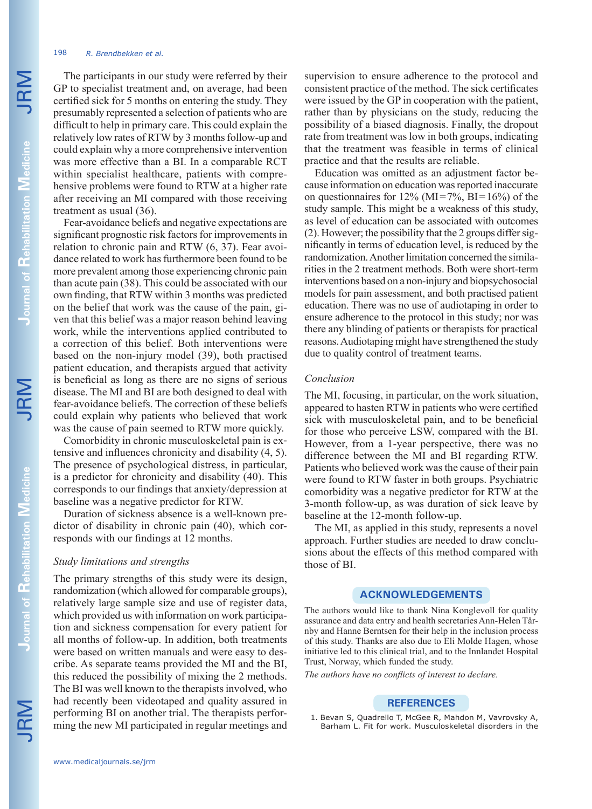# 198 *R. Brendbekken et al.*

The participants in our study were referred by their GP to specialist treatment and, on average, had been certified sick for 5 months on entering the study. They presumably represented a selection of patients who are difficult to help in primary care. This could explain the relatively low rates of RTW by 3 months follow-up and could explain why a more comprehensive intervention was more effective than a BI. In a comparable RCT within specialist healthcare, patients with comprehensive problems were found to RTW at a higher rate after receiving an MI compared with those receiving treatment as usual (36).

Fear-avoidance beliefs and negative expectations are significant prognostic risk factors for improvements in relation to chronic pain and RTW (6, 37). Fear avoidance related to work has furthermore been found to be more prevalent among those experiencing chronic pain than acute pain (38). This could be associated with our own finding, that RTW within 3 months was predicted on the belief that work was the cause of the pain, given that this belief was a major reason behind leaving work, while the interventions applied contributed to a correction of this belief. Both interventions were based on the non-injury model (39), both practised patient education, and therapists argued that activity is beneficial as long as there are no signs of serious disease. The MI and BI are both designed to deal with fear-avoidance beliefs. The correction of these beliefs could explain why patients who believed that work was the cause of pain seemed to RTW more quickly.

Comorbidity in chronic musculoskeletal pain is extensive and influences chronicity and disability (4, 5). The presence of psychological distress, in particular, is a predictor for chronicity and disability (40). This corresponds to our findings that anxiety/depression at baseline was a negative predictor for RTW.

Duration of sickness absence is a well-known predictor of disability in chronic pain (40), which corresponds with our findings at 12 months.

# *Study limitations and strengths*

The primary strengths of this study were its design, randomization (which allowed for comparable groups), relatively large sample size and use of register data, which provided us with information on work participation and sickness compensation for every patient for all months of follow-up. In addition, both treatments were based on written manuals and were easy to describe. As separate teams provided the MI and the BI, this reduced the possibility of mixing the 2 methods. The BI was well known to the therapists involved, who had recently been videotaped and quality assured in performing BI on another trial. The therapists performing the new MI participated in regular meetings and supervision to ensure adherence to the protocol and consistent practice of the method. The sick certificates were issued by the GP in cooperation with the patient, rather than by physicians on the study, reducing the possibility of a biased diagnosis. Finally, the dropout rate from treatment was low in both groups, indicating that the treatment was feasible in terms of clinical practice and that the results are reliable.

Education was omitted as an adjustment factor because information on education was reported inaccurate on questionnaires for  $12\%$  (MI=7%, BI=16%) of the study sample. This might be a weakness of this study, as level of education can be associated with outcomes (2). However; the possibility that the 2 groups differ significantly in terms of education level, is reduced by the randomization. Another limitation concerned the similarities in the 2 treatment methods. Both were short-term interventions based on a non-injury and biopsychosocial models for pain assessment, and both practised patient education. There was no use of audiotaping in order to ensure adherence to the protocol in this study; nor was there any blinding of patients or therapists for practical reasons. Audiotaping might have strengthened the study due to quality control of treatment teams.

# *Conclusion*

The MI, focusing, in particular, on the work situation, appeared to hasten RTW in patients who were certified sick with musculoskeletal pain, and to be beneficial for those who perceive LSW, compared with the BI. However, from a 1-year perspective, there was no difference between the MI and BI regarding RTW. Patients who believed work was the cause of their pain were found to RTW faster in both groups. Psychiatric comorbidity was a negative predictor for RTW at the 3-month follow-up, as was duration of sick leave by baseline at the 12-month follow-up.

The MI, as applied in this study, represents a novel approach. Further studies are needed to draw conclusions about the effects of this method compared with those of BI.

## **ACKNOWLEDGEMENTS**

The authors would like to thank Nina Konglevoll for quality assurance and data entry and health secretaries Ann-Helen Tårnby and Hanne Berntsen for their help in the inclusion process of this study. Thanks are also due to Eli Molde Hagen, whose initiative led to this clinical trial, and to the Innlandet Hospital Trust, Norway, which funded the study.

*The authors have no conflicts of interest to declare.*

#### **REFERENCES**

1. Bevan S, Quadrello T, McGee R, Mahdon M, Vavrovsky A, Barham L. Fit for work. Musculoskeletal disorders in the

JRM